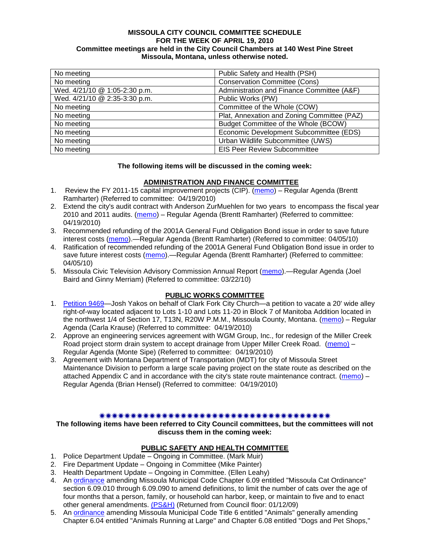#### **MISSOULA CITY COUNCIL COMMITTEE SCHEDULE FOR THE WEEK OF APRIL 19, 2010 Committee meetings are held in the City Council Chambers at 140 West Pine Street Missoula, Montana, unless otherwise noted.**

| No meeting                    | Public Safety and Health (PSH)              |
|-------------------------------|---------------------------------------------|
| No meeting                    | <b>Conservation Committee (Cons)</b>        |
| Wed. 4/21/10 @ 1:05-2:30 p.m. | Administration and Finance Committee (A&F)  |
| Wed. 4/21/10 @ 2:35-3:30 p.m. | Public Works (PW)                           |
| No meeting                    | Committee of the Whole (COW)                |
| No meeting                    | Plat, Annexation and Zoning Committee (PAZ) |
| No meeting                    | Budget Committee of the Whole (BCOW)        |
| No meeting                    | Economic Development Subcommittee (EDS)     |
| No meeting                    | Urban Wildlife Subcommittee (UWS)           |
| No meeting                    | <b>EIS Peer Review Subcommittee</b>         |

#### **The following items will be discussed in the coming week:**

### **ADMINISTRATION AND FINANCE COMMITTEE**

- 1. Review the FY 2011-15 capital improvement projects (CIP). [\(memo\)](http://www.ci.missoula.mt.us/DocumentView.aspx?DID=3522) Regular Agenda (Brentt Ramharter) (Referred to committee: 04/19/2010)
- 2. Extend the city's audit contract with Anderson ZurMuehlen for two years to encompass the fiscal year 2010 and 2011 audits. [\(memo\)](http://www.ci.missoula.mt.us/DocumentView.aspx?DID=3528) – Regular Agenda (Brentt Ramharter) (Referred to committee: 04/19/2010)
- 3. Recommended refunding of the 2001A General Fund Obligation Bond issue in order to save future interest costs [\(memo\)](http://www.ci.missoula.mt.us/DocumentView.aspx?DID=3445).—Regular Agenda (Brentt Ramharter) (Referred to committee: 04/05/10)
- 4. Ratification of recommended refunding of the 2001A General Fund Obligation Bond issue in order to save future interest costs [\(memo\)](http://www.ci.missoula.mt.us/DocumentView.aspx?DID=3446).—Regular Agenda (Brentt Ramharter) (Referred to committee: 04/05/10)
- 5. Missoula Civic Television Advisory Commission Annual Report [\(memo\)](http://www.ci.missoula.mt.us/DocumentView.aspx?DID=3370).—Regular Agenda (Joel Baird and Ginny Merriam) (Referred to committee: 03/22/10)

#### **PUBLIC WORKS COMMITTEE**

- 1. [Petition 9469—](http://www.ci.missoula.mt.us/DocumentView.aspx?DID=3502)Josh Yakos on behalf of Clark Fork City Church—a petition to vacate a 20' wide alley right-of-way located adjacent to Lots 1-10 and Lots 11-20 in Block 7 of Manitoba Addition located in the northwest 1/4 of Section 17, T13N, R20W P.M.M., Missoula County, Montana. [\(memo\)](http://www.ci.missoula.mt.us/DocumentView.aspx?DID=3525) – Regular Agenda (Carla Krause) (Referred to committee: 04/19/2010)
- 2. Approve an engineering services agreement with WGM Group, Inc., for redesign of the Miller Creek Road project storm drain system to accept drainage from Upper Miller Creek Road. [\(memo\)](http://www.ci.missoula.mt.us/DocumentView.aspx?DID=3523) – Regular Agenda (Monte Sipe) (Referred to committee: 04/19/2010)
- 3. Agreement with Montana Department of Transportation (MDT) for city of Missoula Street Maintenance Division to perform a large scale paving project on the state route as described on the attached Appendix C and in accordance with the city's state route maintenance contract. [\(memo\)](http://www.ci.missoula.mt.us/DocumentView.aspx?DID=3524) – Regular Agenda (Brian Hensel) (Referred to committee: 04/19/2010)

#### 

**The following items have been referred to City Council committees, but the committees will not discuss them in the coming week:**

### **PUBLIC SAFETY AND HEALTH COMMITTEE**

- 1. Police Department Update Ongoing in Committee. (Mark Muir)
- 2. Fire Department Update Ongoing in Committee (Mike Painter)
- 3. Health Department Update Ongoing in Committee. (Ellen Leahy)
- 4. An [ordinance](ftp://ftp.ci.missoula.mt.us/Packets/Council/2008/2008-12-15/2008CatOrdinanceAmendment%5B1%5D.pdf) amending Missoula Municipal Code Chapter 6.09 entitled "Missoula Cat Ordinance" section 6.09.010 through 6.09.090 to amend definitions, to limit the number of cats over the age of four months that a person, family, or household can harbor, keep, or maintain to five and to enact other general amendments. [\(PS&H\)](ftp://ftp.ci.missoula.mt.us/Packets/Council/2008/2008-12-15/081210psh.pdf) (Returned from Council floor: 01/12/09)
- 5. An [ordinance](ftp://ftp.ci.missoula.mt.us/Packets/Council/2008/2008-12-15/DogOrdinance--PSHrevisions.pdf) amending Missoula Municipal Code Title 6 entitled "Animals" generally amending Chapter 6.04 entitled "Animals Running at Large" and Chapter 6.08 entitled "Dogs and Pet Shops,"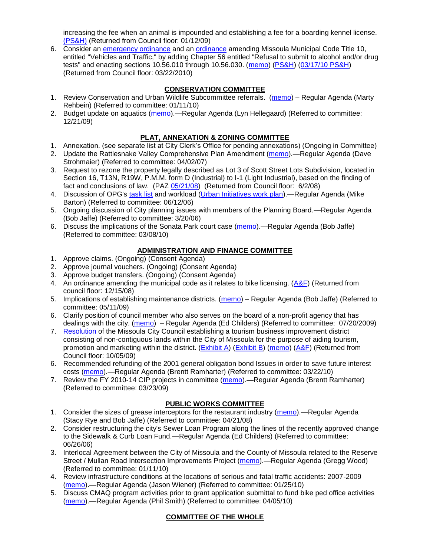increasing the fee when an animal is impounded and establishing a fee for a boarding kennel license. [\(PS&H\)](ftp://ftp.ci.missoula.mt.us/Packets/Council/2008/2008-12-15/081210psh.pdf) (Returned from Council floor: 01/12/09)

6. Consider an [emergency ordinance](http://www.ci.missoula.mt.us/DocumentView.aspx?DID=3152) and an [ordinance](http://www.ci.missoula.mt.us/DocumentView.aspx?DID=3130) amending Missoula Municipal Code Title 10, entitled "Vehicles and Traffic," by adding Chapter 56 entitled "Refusal to submit to alcohol and/or drug tests" and enacting sections 10.56.010 through 10.56.030. [\(memo\)](http://www.ci.missoula.mt.us/DocumentView.aspx?DID=3131) [\(PS&H\)](http://www.ci.missoula.mt.us/Archive.aspx?ADID=1954) [\(03/17/10 PS&H\)](http://www.ci.missoula.mt.us/Archive.aspx?ADID=2112) (Returned from Council floor: 03/22/2010)

# **CONSERVATION COMMITTEE**

- 1. Review Conservation and Urban Wildlife Subcommittee referrals. [\(memo\)](http://www.ci.missoula.mt.us/DocumentView.aspx?DID=2933) Regular Agenda (Marty Rehbein) (Referred to committee: 01/11/10)
- 2. Budget update on aquatics [\(memo\)](http://www.ci.missoula.mt.us/DocumentView.aspx?DID=2864).—Regular Agenda (Lyn Hellegaard) (Referred to committee: 12/21/09)

#### **PLAT, ANNEXATION & ZONING COMMITTEE**

- 1. Annexation. (see separate list at City Clerk's Office for pending annexations) (Ongoing in Committee)
- 2. Update the Rattlesnake Valley Comprehensive Plan Amendment [\(memo\)](ftp://ftp.ci.missoula.mt.us/Packets/Council/2007/2007-04-02/Referrals/Rattlesnake_Plan_Update_referral.pdf).—Regular Agenda (Dave Strohmaier) (Referred to committee: 04/02/07)
- 3. Request to rezone the property legally described as Lot 3 of Scott Street Lots Subdivision, located in Section 16, T13N, R19W, P.M.M. form D (Industrial) to I-1 (Light Industrial), based on the finding of fact and conclusions of law. (PAZ [05/21/08\)](ftp://ftp.ci.missoula.mt.us/Packets/Council/2008/2008-06-02/080521paz.pdf) (Returned from Council floor: 6/2/08)
- 4. Discussion of OPG's [task list](ftp://ftp.ci.missoula.mt.us/Packets/Council/2008/2008-07-07/UITaskList.pdf) and workload [\(Urban Initiatives work plan\)](ftp://ftp.ci.missoula.mt.us/Packets/Council/2006/2006-06-12/Referrals/Urban_Init.htm).—Regular Agenda (Mike Barton) (Referred to committee: 06/12/06)
- 5. Ongoing discussion of City planning issues with members of the Planning Board.—Regular Agenda (Bob Jaffe) (Referred to committee: 3/20/06)
- 6. Discuss the implications of the Sonata Park court case [\(memo\)](http://www.ci.missoula.mt.us/DocumentView.aspx?DID=3268).—Regular Agenda (Bob Jaffe) (Referred to committee: 03/08/10)

## **ADMINISTRATION AND FINANCE COMMITTEE**

- 1. Approve claims. (Ongoing) (Consent Agenda)
- 2. Approve journal vouchers. (Ongoing) (Consent Agenda)
- 3. Approve budget transfers. (Ongoing) (Consent Agenda)
- 4. An ordinance amending the municipal code as it relates to bike licensing. [\(A&F\)](ftp://ftp.ci.missoula.mt.us/Packets/Council/2008/2008-12-15/081210af.pdf) (Returned from council floor: 12/15/08)
- 5. Implications of establishing maintenance districts. [\(memo\)](ftp://ftp.ci.missoula.mt.us/Packets/Council/2009/2009-05-11/Referrals/MaintenanceDistricts.pdf) Regular Agenda (Bob Jaffe) (Referred to committee: 05/11/09)
- 6. Clarify position of council member who also serves on the board of a non-profit agency that has dealings with the city. [\(memo\)](http://www.ci.missoula.mt.us/DocumentView.aspx?DID=1840) – Regular Agenda (Ed Childers) (Referred to committee: 07/20/2009)
- 7. [Resolution](http://www.ci.missoula.mt.us/DocumentView.aspx?DID=2373) of the Missoula City Council establishing a tourism business improvement district consisting of non-contiguous lands within the City of Missoula for the purpose of aiding tourism, promotion and marketing within the district. [\(Exhibit A\)](http://www.ci.missoula.mt.us/DocumentView.aspx?DID=2090) [\(Exhibit B\)](http://www.ci.missoula.mt.us/DocumentView.aspx?DID=2374) [\(memo\)](http://www.ci.missoula.mt.us/DocumentView.aspx?DID=2097) [\(A&F\)](http://www.ci.missoula.mt.us/Archive.aspx?ADID=1172) (Returned from Council floor: 10/05/09)
- 6. Recommended refunding of the 2001 general obligation bond Issues in order to save future interest costs [\(memo\)](http://www.ci.missoula.mt.us/DocumentView.aspx?DID=3364).—Regular Agenda (Brentt Ramharter) (Referred to committee: 03/22/10)
- 7. Review the FY 2010-14 CIP projects in committee [\(memo\)](ftp://ftp.ci.missoula.mt.us/Packets/Council/2009/2009-03-23/Referrals/RefAFCIPBudgetReviewFY2010-2014CIP.pdf).—Regular Agenda (Brentt Ramharter) (Referred to committee: 03/23/09)

### **PUBLIC WORKS COMMITTEE**

- 1. Consider the sizes of grease interceptors for the restaurant industry [\(memo\)](ftp://ftp.ci.missoula.mt.us/Packets/Council/2008/2008-04-21/Referrals/Industrial_waste_restaurants.pdf).—Regular Agenda (Stacy Rye and Bob Jaffe) (Referred to committee: 04/21/08)
- 2. Consider restructuring the city's Sewer Loan Program along the lines of the recently approved change to the Sidewalk & Curb Loan Fund.—Regular Agenda (Ed Childers) (Referred to committee: 06/26/06)
- 3. Interlocal Agreement between the City of Missoula and the County of Missoula related to the Reserve Street / Mullan Road Intersection Improvements Project [\(memo\)](http://www.ci.missoula.mt.us/DocumentView.aspx?DID=2959).—Regular Agenda (Gregg Wood) (Referred to committee: 01/11/10)
- 4. Review infrastructure conditions at the locations of serious and fatal traffic accidents: 2007-2009 [\(memo\)](http://www.ci.missoula.mt.us/DocumentView.aspx?DID=3031).—Regular Agenda (Jason Wiener) (Referred to committee: 01/25/10)
- 5. Discuss CMAQ program activities prior to grant application submittal to fund bike ped office activities [\(memo\)](http://www.ci.missoula.mt.us/DocumentView.aspx?DID=3432).—Regular Agenda (Phil Smith) (Referred to committee: 04/05/10)

# **COMMITTEE OF THE WHOLE**